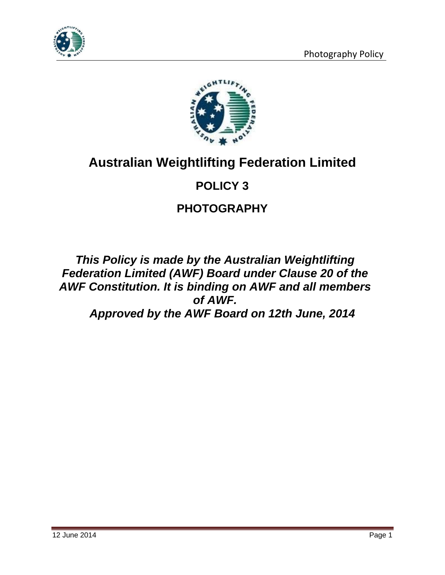



# **Australian Weightlifting Federation Limited**

# **POLICY 3**

# **PHOTOGRAPHY**

*This Policy is made by the Australian Weightlifting Federation Limited (AWF) Board under Clause 20 of the AWF Constitution. It is binding on AWF and all members of AWF. Approved by the AWF Board on 12th June, 2014*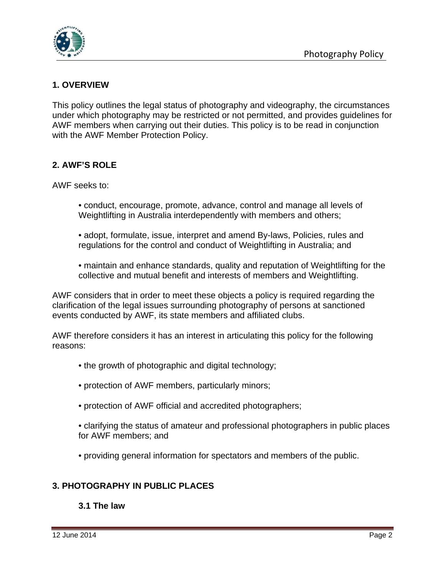

## **1. OVERVIEW**

This policy outlines the legal status of photography and videography, the circumstances under which photography may be restricted or not permitted, and provides guidelines for AWF members when carrying out their duties. This policy is to be read in conjunction with the AWF Member Protection Policy.

## **2. AWF'S ROLE**

AWF seeks to:

- conduct, encourage, promote, advance, control and manage all levels of Weightlifting in Australia interdependently with members and others;
- adopt, formulate, issue, interpret and amend By-laws, Policies, rules and regulations for the control and conduct of Weightlifting in Australia; and
- maintain and enhance standards, quality and reputation of Weightlifting for the collective and mutual benefit and interests of members and Weightlifting.

AWF considers that in order to meet these objects a policy is required regarding the clarification of the legal issues surrounding photography of persons at sanctioned events conducted by AWF, its state members and affiliated clubs.

AWF therefore considers it has an interest in articulating this policy for the following reasons:

- the growth of photographic and digital technology;
- protection of AWF members, particularly minors;
- protection of AWF official and accredited photographers;
- clarifying the status of amateur and professional photographers in public places for AWF members; and
- providing general information for spectators and members of the public.

### **3. PHOTOGRAPHY IN PUBLIC PLACES**

### **3.1 The law**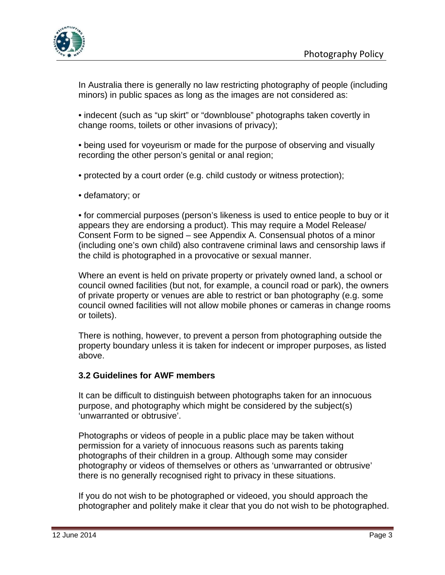

In Australia there is generally no law restricting photography of people (including minors) in public spaces as long as the images are not considered as:

• indecent (such as "up skirt" or "downblouse" photographs taken covertly in change rooms, toilets or other invasions of privacy);

• being used for voyeurism or made for the purpose of observing and visually recording the other person's genital or anal region;

• protected by a court order (e.g. child custody or witness protection);

• defamatory; or

• for commercial purposes (person's likeness is used to entice people to buy or it appears they are endorsing a product). This may require a Model Release/ Consent Form to be signed – see Appendix A. Consensual photos of a minor (including one's own child) also contravene criminal laws and censorship laws if the child is photographed in a provocative or sexual manner.

Where an event is held on private property or privately owned land, a school or council owned facilities (but not, for example, a council road or park), the owners of private property or venues are able to restrict or ban photography (e.g. some council owned facilities will not allow mobile phones or cameras in change rooms or toilets).

There is nothing, however, to prevent a person from photographing outside the property boundary unless it is taken for indecent or improper purposes, as listed above.

### **3.2 Guidelines for AWF members**

It can be difficult to distinguish between photographs taken for an innocuous purpose, and photography which might be considered by the subject(s) 'unwarranted or obtrusive'.

Photographs or videos of people in a public place may be taken without permission for a variety of innocuous reasons such as parents taking photographs of their children in a group. Although some may consider photography or videos of themselves or others as 'unwarranted or obtrusive' there is no generally recognised right to privacy in these situations.

If you do not wish to be photographed or videoed, you should approach the photographer and politely make it clear that you do not wish to be photographed.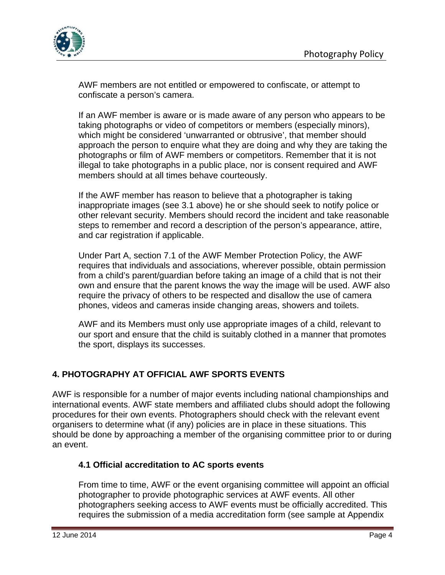

AWF members are not entitled or empowered to confiscate, or attempt to confiscate a person's camera.

If an AWF member is aware or is made aware of any person who appears to be taking photographs or video of competitors or members (especially minors), which might be considered 'unwarranted or obtrusive', that member should approach the person to enquire what they are doing and why they are taking the photographs or film of AWF members or competitors. Remember that it is not illegal to take photographs in a public place, nor is consent required and AWF members should at all times behave courteously.

If the AWF member has reason to believe that a photographer is taking inappropriate images (see 3.1 above) he or she should seek to notify police or other relevant security. Members should record the incident and take reasonable steps to remember and record a description of the person's appearance, attire, and car registration if applicable.

Under Part A, section 7.1 of the AWF Member Protection Policy, the AWF requires that individuals and associations, wherever possible, obtain permission from a child's parent/guardian before taking an image of a child that is not their own and ensure that the parent knows the way the image will be used. AWF also require the privacy of others to be respected and disallow the use of camera phones, videos and cameras inside changing areas, showers and toilets.

AWF and its Members must only use appropriate images of a child, relevant to our sport and ensure that the child is suitably clothed in a manner that promotes the sport, displays its successes.

# **4. PHOTOGRAPHY AT OFFICIAL AWF SPORTS EVENTS**

AWF is responsible for a number of major events including national championships and international events. AWF state members and affiliated clubs should adopt the following procedures for their own events. Photographers should check with the relevant event organisers to determine what (if any) policies are in place in these situations. This should be done by approaching a member of the organising committee prior to or during an event.

## **4.1 Official accreditation to AC sports events**

From time to time, AWF or the event organising committee will appoint an official photographer to provide photographic services at AWF events. All other photographers seeking access to AWF events must be officially accredited. This requires the submission of a media accreditation form (see sample at Appendix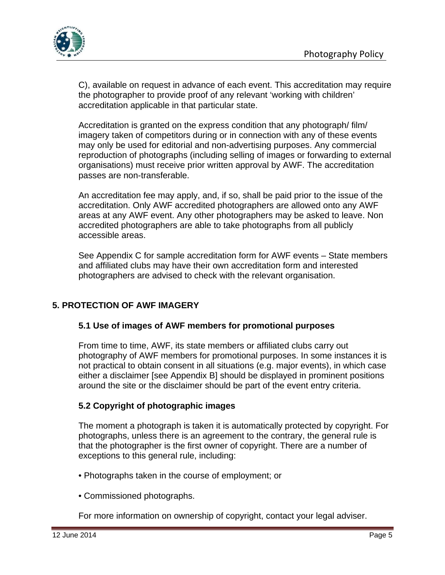

C), available on request in advance of each event. This accreditation may require the photographer to provide proof of any relevant 'working with children' accreditation applicable in that particular state.

Accreditation is granted on the express condition that any photograph/ film/ imagery taken of competitors during or in connection with any of these events may only be used for editorial and non-advertising purposes. Any commercial reproduction of photographs (including selling of images or forwarding to external organisations) must receive prior written approval by AWF. The accreditation passes are non-transferable.

An accreditation fee may apply, and, if so, shall be paid prior to the issue of the accreditation. Only AWF accredited photographers are allowed onto any AWF areas at any AWF event. Any other photographers may be asked to leave. Non accredited photographers are able to take photographs from all publicly accessible areas.

See Appendix C for sample accreditation form for AWF events – State members and affiliated clubs may have their own accreditation form and interested photographers are advised to check with the relevant organisation.

## **5. PROTECTION OF AWF IMAGERY**

### **5.1 Use of images of AWF members for promotional purposes**

From time to time, AWF, its state members or affiliated clubs carry out photography of AWF members for promotional purposes. In some instances it is not practical to obtain consent in all situations (e.g. major events), in which case either a disclaimer [see Appendix B] should be displayed in prominent positions around the site or the disclaimer should be part of the event entry criteria.

## **5.2 Copyright of photographic images**

The moment a photograph is taken it is automatically protected by copyright. For photographs, unless there is an agreement to the contrary, the general rule is that the photographer is the first owner of copyright. There are a number of exceptions to this general rule, including:

- Photographs taken in the course of employment; or
- Commissioned photographs.

For more information on ownership of copyright, contact your legal adviser.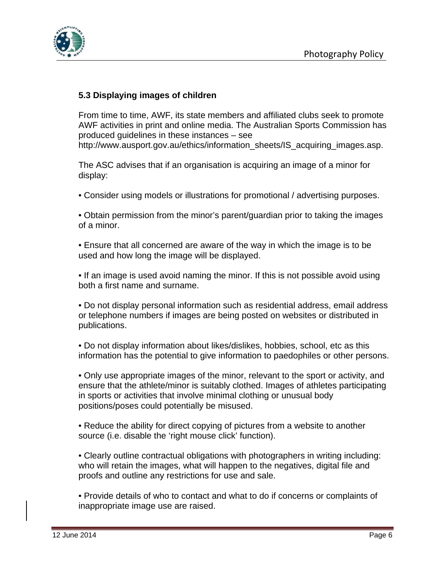



### **5.3 Displaying images of children**

From time to time, AWF, its state members and affiliated clubs seek to promote AWF activities in print and online media. The Australian Sports Commission has produced guidelines in these instances – see http://www.ausport.gov.au/ethics/information\_sheets/IS\_acquiring\_images.asp.

The ASC advises that if an organisation is acquiring an image of a minor for display:

• Consider using models or illustrations for promotional / advertising purposes.

• Obtain permission from the minor's parent/guardian prior to taking the images of a minor.

• Ensure that all concerned are aware of the way in which the image is to be used and how long the image will be displayed.

• If an image is used avoid naming the minor. If this is not possible avoid using both a first name and surname.

• Do not display personal information such as residential address, email address or telephone numbers if images are being posted on websites or distributed in publications.

• Do not display information about likes/dislikes, hobbies, school, etc as this information has the potential to give information to paedophiles or other persons.

• Only use appropriate images of the minor, relevant to the sport or activity, and ensure that the athlete/minor is suitably clothed. Images of athletes participating in sports or activities that involve minimal clothing or unusual body positions/poses could potentially be misused.

• Reduce the ability for direct copying of pictures from a website to another source (i.e. disable the 'right mouse click' function).

• Clearly outline contractual obligations with photographers in writing including: who will retain the images, what will happen to the negatives, digital file and proofs and outline any restrictions for use and sale.

• Provide details of who to contact and what to do if concerns or complaints of inappropriate image use are raised.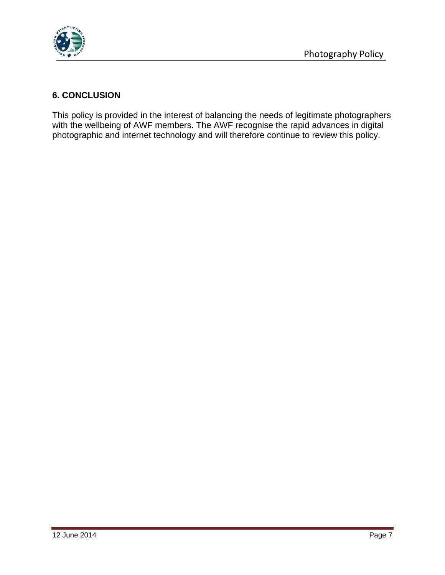

## **6. CONCLUSION**

This policy is provided in the interest of balancing the needs of legitimate photographers with the wellbeing of AWF members. The AWF recognise the rapid advances in digital photographic and internet technology and will therefore continue to review this policy.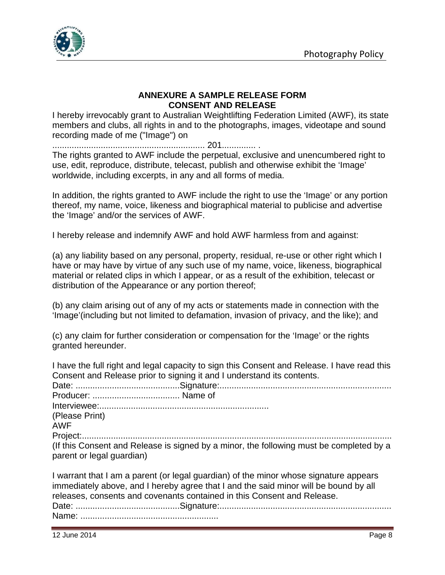

#### **ANNEXURE A SAMPLE RELEASE FORM CONSENT AND RELEASE**

I hereby irrevocably grant to Australian Weightlifting Federation Limited (AWF), its state members and clubs, all rights in and to the photographs, images, videotape and sound recording made of me ("Image") on

............................................................... 201.............. .

The rights granted to AWF include the perpetual, exclusive and unencumbered right to use, edit, reproduce, distribute, telecast, publish and otherwise exhibit the 'Image' worldwide, including excerpts, in any and all forms of media.

In addition, the rights granted to AWF include the right to use the 'Image' or any portion thereof, my name, voice, likeness and biographical material to publicise and advertise the 'Image' and/or the services of AWF.

I hereby release and indemnify AWF and hold AWF harmless from and against:

(a) any liability based on any personal, property, residual, re-use or other right which I have or may have by virtue of any such use of my name, voice, likeness, biographical material or related clips in which I appear, or as a result of the exhibition, telecast or distribution of the Appearance or any portion thereof;

(b) any claim arising out of any of my acts or statements made in connection with the 'Image'(including but not limited to defamation, invasion of privacy, and the like); and

(c) any claim for further consideration or compensation for the 'Image' or the rights granted hereunder.

I have the full right and legal capacity to sign this Consent and Release. I have read this Consent and Release prior to signing it and I understand its contents. Date: ...........................................Signature:....................................................................... Producer: .................................... Name of Interviewee:...................................................................... (Please Print) AWF Project:................................................................................................................................

(If this Consent and Release is signed by a minor, the following must be completed by a parent or legal guardian)

I warrant that I am a parent (or legal guardian) of the minor whose signature appears immediately above, and I hereby agree that I and the said minor will be bound by all releases, consents and covenants contained in this Consent and Release. Date: ...........................................Signature:....................................................................... Name: .........................................................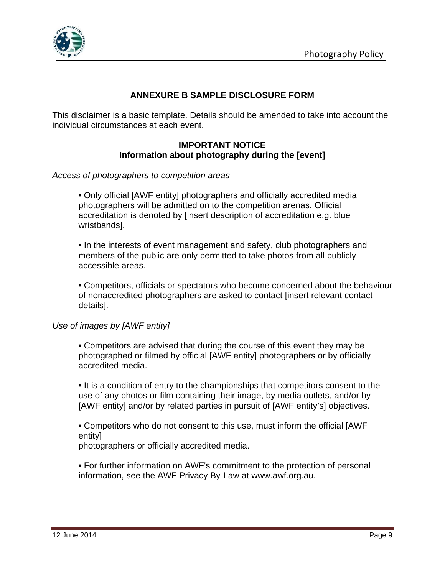

## **ANNEXURE B SAMPLE DISCLOSURE FORM**

This disclaimer is a basic template. Details should be amended to take into account the individual circumstances at each event.

#### **IMPORTANT NOTICE Information about photography during the [event]**

#### *Access of photographers to competition areas*

• Only official [AWF entity] photographers and officially accredited media photographers will be admitted on to the competition arenas. Official accreditation is denoted by [insert description of accreditation e.g. blue wristbands].

• In the interests of event management and safety, club photographers and members of the public are only permitted to take photos from all publicly accessible areas.

• Competitors, officials or spectators who become concerned about the behaviour of nonaccredited photographers are asked to contact [insert relevant contact details].

#### *Use of images by [AWF entity]*

• Competitors are advised that during the course of this event they may be photographed or filmed by official [AWF entity] photographers or by officially accredited media.

• It is a condition of entry to the championships that competitors consent to the use of any photos or film containing their image, by media outlets, and/or by [AWF entity] and/or by related parties in pursuit of [AWF entity's] objectives.

• Competitors who do not consent to this use, must inform the official [AWF entity]

photographers or officially accredited media.

• For further information on AWF's commitment to the protection of personal information, see the AWF Privacy By-Law at www.awf.org.au.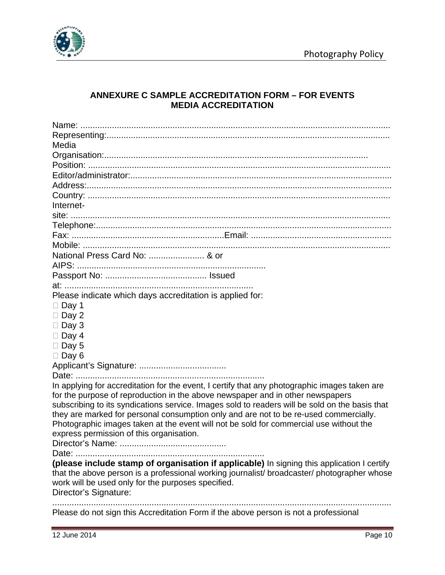

## **ANNEXURE C SAMPLE ACCREDITATION FORM – FOR EVENTS MEDIA ACCREDITATION**

| Media                                                                                                                                                                                     |
|-------------------------------------------------------------------------------------------------------------------------------------------------------------------------------------------|
|                                                                                                                                                                                           |
|                                                                                                                                                                                           |
|                                                                                                                                                                                           |
|                                                                                                                                                                                           |
|                                                                                                                                                                                           |
| Internet-                                                                                                                                                                                 |
|                                                                                                                                                                                           |
|                                                                                                                                                                                           |
|                                                                                                                                                                                           |
|                                                                                                                                                                                           |
| National Press Card No:  & or                                                                                                                                                             |
|                                                                                                                                                                                           |
|                                                                                                                                                                                           |
|                                                                                                                                                                                           |
| Please indicate which days accreditation is applied for:                                                                                                                                  |
| $\Box$ Day 1                                                                                                                                                                              |
| $\Box$ Day 2                                                                                                                                                                              |
| $\Box$ Day 3                                                                                                                                                                              |
| $\Box$ Day 4                                                                                                                                                                              |
| $\Box$ Day 5                                                                                                                                                                              |
| $\Box$ Day 6                                                                                                                                                                              |
|                                                                                                                                                                                           |
|                                                                                                                                                                                           |
| In applying for accreditation for the event, I certify that any photographic images taken are                                                                                             |
| for the purpose of reproduction in the above newspaper and in other newspapers                                                                                                            |
| subscribing to its syndications service. Images sold to readers will be sold on the basis that                                                                                            |
| they are marked for personal consumption only and are not to be re-used commercially.                                                                                                     |
| Photographic images taken at the event will not be sold for commercial use without the                                                                                                    |
| express permission of this organisation.                                                                                                                                                  |
|                                                                                                                                                                                           |
|                                                                                                                                                                                           |
| (please include stamp of organisation if applicable) In signing this application I certify<br>that the above person is a professional working journalist/ broadcaster/ photographer whose |
| work will be used only for the purposes specified.                                                                                                                                        |
| Director's Signature:                                                                                                                                                                     |
|                                                                                                                                                                                           |
| Please do not sign this Accreditation Form if the above person is not a professional                                                                                                      |